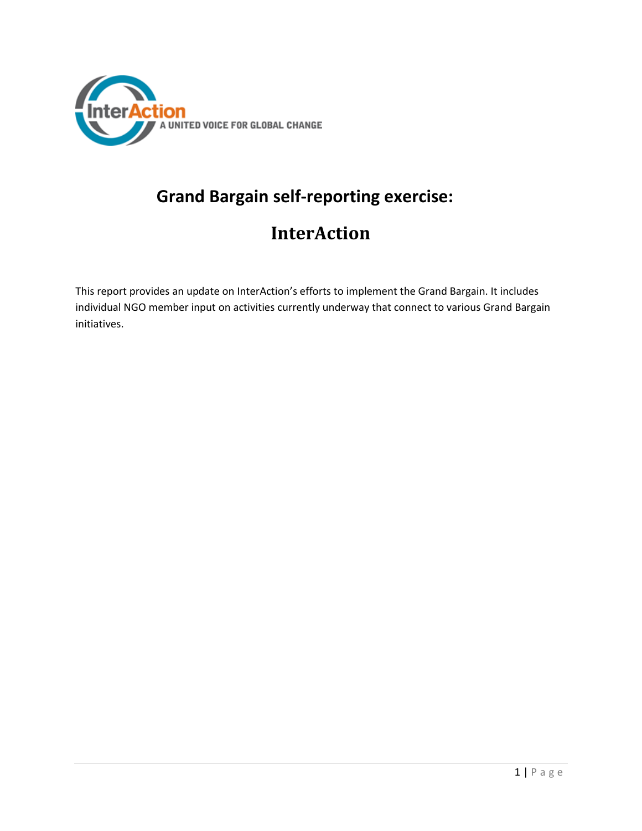

# **Grand Bargain self-reporting exercise:**

# **InterAction**

This report provides an update on InterAction's efforts to implement the Grand Bargain. It includes individual NGO member input on activities currently underway that connect to various Grand Bargain initiatives.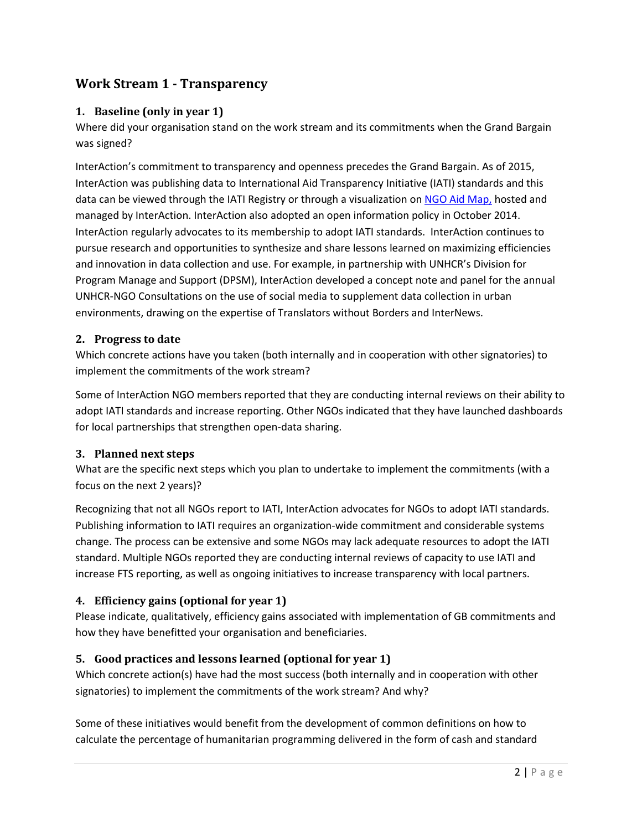# **Work Stream 1 - Transparency**

#### **1. Baseline (only in year 1)**

Where did your organisation stand on the work stream and its commitments when the Grand Bargain was signed?

InterAction's commitment to transparency and openness precedes the Grand Bargain. As of 2015, InterAction was publishing data to International Aid Transparency Initiative (IATI) standards and this data can be viewed through the IATI Registry or through a visualization on [NGO Aid Map,](http://ngoaidmap.org/organizations/172) hosted and managed by InterAction. InterAction also adopted an open information policy in October 2014. InterAction regularly advocates to its membership to adopt IATI standards. InterAction continues to pursue research and opportunities to synthesize and share lessons learned on maximizing efficiencies and innovation in data collection and use. For example, in partnership with UNHCR's Division for Program Manage and Support (DPSM), InterAction developed a concept note and panel for the annual UNHCR-NGO Consultations on the use of social media to supplement data collection in urban environments, drawing on the expertise of Translators without Borders and InterNews.

#### **2. Progress to date**

Which concrete actions have you taken (both internally and in cooperation with other signatories) to implement the commitments of the work stream?

Some of InterAction NGO members reported that they are conducting internal reviews on their ability to adopt IATI standards and increase reporting. Other NGOs indicated that they have launched dashboards for local partnerships that strengthen open-data sharing.

#### **3. Planned next steps**

What are the specific next steps which you plan to undertake to implement the commitments (with a focus on the next 2 years)?

Recognizing that not all NGOs report to IATI, InterAction advocates for NGOs to adopt IATI standards. Publishing information to IATI requires an organization-wide commitment and considerable systems change. The process can be extensive and some NGOs may lack adequate resources to adopt the IATI standard. Multiple NGOs reported they are conducting internal reviews of capacity to use IATI and increase FTS reporting, as well as ongoing initiatives to increase transparency with local partners.

#### **4. Efficiency gains (optional for year 1)**

Please indicate, qualitatively, efficiency gains associated with implementation of GB commitments and how they have benefitted your organisation and beneficiaries.

#### **5. Good practices and lessons learned (optional for year 1)**

Which concrete action(s) have had the most success (both internally and in cooperation with other signatories) to implement the commitments of the work stream? And why?

Some of these initiatives would benefit from the development of common definitions on how to calculate the percentage of humanitarian programming delivered in the form of cash and standard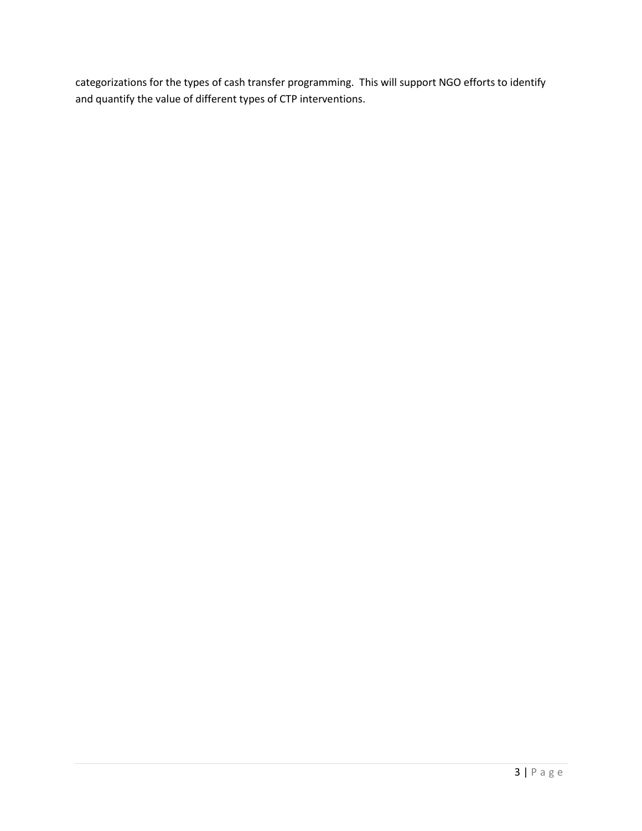categorizations for the types of cash transfer programming. This will support NGO efforts to identify and quantify the value of different types of CTP interventions.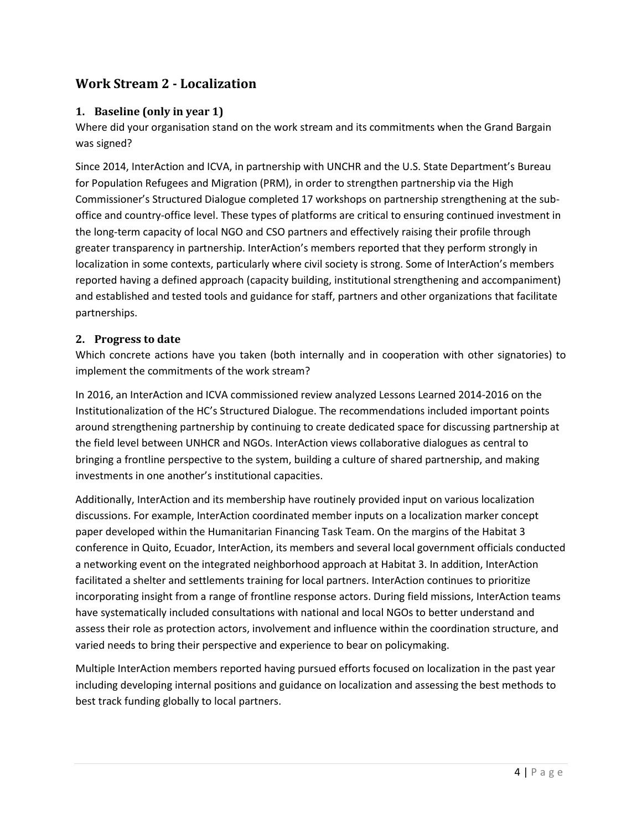# **Work Stream 2 - Localization**

#### **1. Baseline (only in year 1)**

Where did your organisation stand on the work stream and its commitments when the Grand Bargain was signed?

Since 2014, InterAction and ICVA, in partnership with UNCHR and the U.S. State Department's Bureau for Population Refugees and Migration (PRM), in order to strengthen partnership via the High Commissioner's Structured Dialogue completed 17 workshops on partnership strengthening at the suboffice and country-office level. These types of platforms are critical to ensuring continued investment in the long-term capacity of local NGO and CSO partners and effectively raising their profile through greater transparency in partnership. InterAction's members reported that they perform strongly in localization in some contexts, particularly where civil society is strong. Some of InterAction's members reported having a defined approach (capacity building, institutional strengthening and accompaniment) and established and tested tools and guidance for staff, partners and other organizations that facilitate partnerships.

#### **2. Progress to date**

Which concrete actions have you taken (both internally and in cooperation with other signatories) to implement the commitments of the work stream?

In 2016, an InterAction and ICVA commissioned review analyzed Lessons Learned 2014-2016 on the Institutionalization of the HC's Structured Dialogue. The recommendations included important points around strengthening partnership by continuing to create dedicated space for discussing partnership at the field level between UNHCR and NGOs. InterAction views collaborative dialogues as central to bringing a frontline perspective to the system, building a culture of shared partnership, and making investments in one another's institutional capacities.

Additionally, InterAction and its membership have routinely provided input on various localization discussions. For example, InterAction coordinated member inputs on a localization marker concept paper developed within the Humanitarian Financing Task Team. On the margins of the Habitat 3 conference in Quito, Ecuador, InterAction, its members and several local government officials conducted a networking event on the integrated neighborhood approach at Habitat 3. In addition, InterAction facilitated a shelter and settlements training for local partners. InterAction continues to prioritize incorporating insight from a range of frontline response actors. During field missions, InterAction teams have systematically included consultations with national and local NGOs to better understand and assess their role as protection actors, involvement and influence within the coordination structure, and varied needs to bring their perspective and experience to bear on policymaking.

Multiple InterAction members reported having pursued efforts focused on localization in the past year including developing internal positions and guidance on localization and assessing the best methods to best track funding globally to local partners.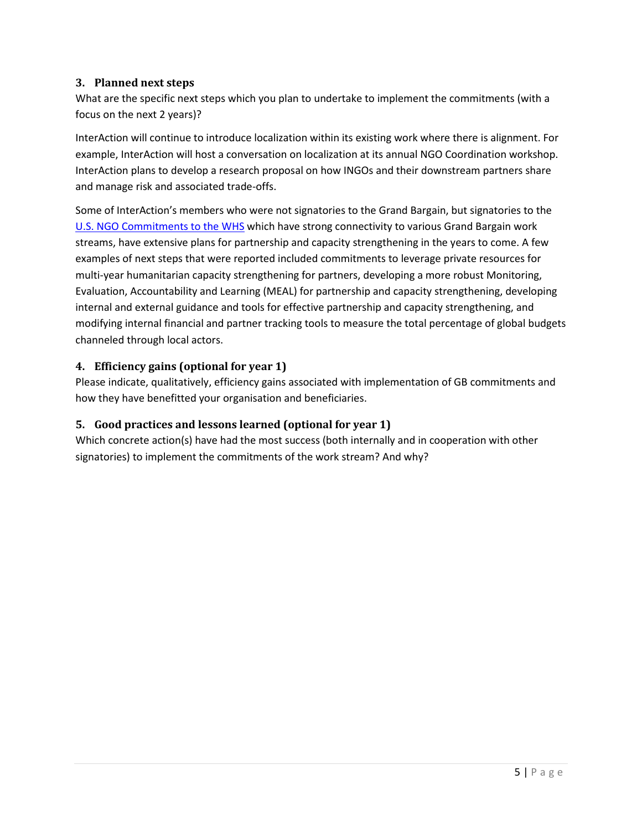#### **3. Planned next steps**

What are the specific next steps which you plan to undertake to implement the commitments (with a focus on the next 2 years)?

InterAction will continue to introduce localization within its existing work where there is alignment. For example, InterAction will host a conversation on localization at its annual NGO Coordination workshop. InterAction plans to develop a research proposal on how INGOs and their downstream partners share and manage risk and associated trade-offs.

Some of InterAction's members who were not signatories to the Grand Bargain, but signatories to the [U.S. NGO Commitments to the WHS](https://www.interaction.org/document/us-ngo-commitments-world-humanitarian-summit) which have strong connectivity to various Grand Bargain work streams, have extensive plans for partnership and capacity strengthening in the years to come. A few examples of next steps that were reported included commitments to leverage private resources for multi-year humanitarian capacity strengthening for partners, developing a more robust Monitoring, Evaluation, Accountability and Learning (MEAL) for partnership and capacity strengthening, developing internal and external guidance and tools for effective partnership and capacity strengthening, and modifying internal financial and partner tracking tools to measure the total percentage of global budgets channeled through local actors.

## **4. Efficiency gains (optional for year 1)**

Please indicate, qualitatively, efficiency gains associated with implementation of GB commitments and how they have benefitted your organisation and beneficiaries.

## **5. Good practices and lessons learned (optional for year 1)**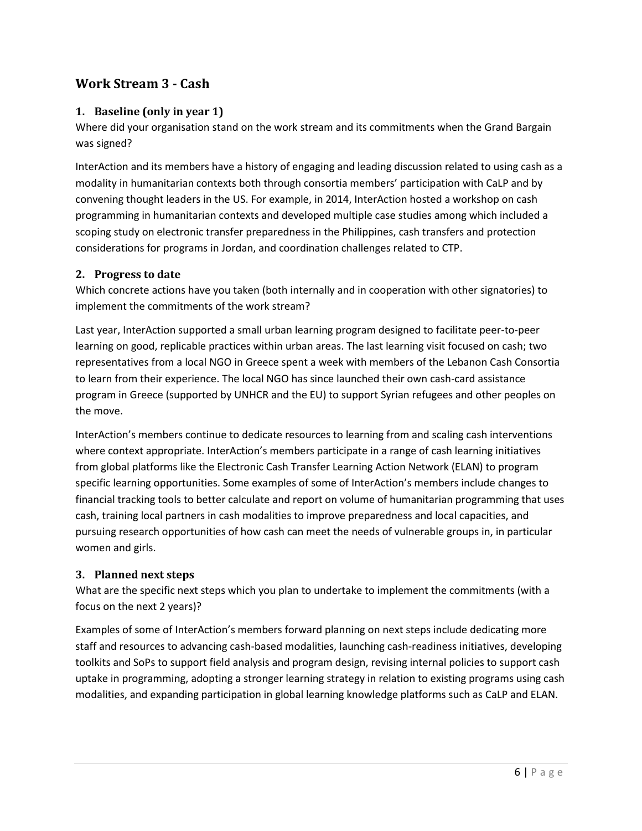# **Work Stream 3 - Cash**

#### **1. Baseline (only in year 1)**

Where did your organisation stand on the work stream and its commitments when the Grand Bargain was signed?

InterAction and its members have a history of engaging and leading discussion related to using cash as a modality in humanitarian contexts both through consortia members' participation with CaLP and by convening thought leaders in the US. For example, in 2014, InterAction hosted a workshop on cash programming in humanitarian contexts and developed multiple case studies among which included a scoping study on electronic transfer preparedness in the Philippines, cash transfers and protection considerations for programs in Jordan, and coordination challenges related to CTP.

#### **2. Progress to date**

Which concrete actions have you taken (both internally and in cooperation with other signatories) to implement the commitments of the work stream?

Last year, InterAction supported a small urban learning program designed to facilitate peer-to-peer learning on good, replicable practices within urban areas. The last learning visit focused on cash; two representatives from a local NGO in Greece spent a week with members of the Lebanon Cash Consortia to learn from their experience. The local NGO has since launched their own cash-card assistance program in Greece (supported by UNHCR and the EU) to support Syrian refugees and other peoples on the move.

InterAction's members continue to dedicate resources to learning from and scaling cash interventions where context appropriate. InterAction's members participate in a range of cash learning initiatives from global platforms like the Electronic Cash Transfer Learning Action Network (ELAN) to program specific learning opportunities. Some examples of some of InterAction's members include changes to financial tracking tools to better calculate and report on volume of humanitarian programming that uses cash, training local partners in cash modalities to improve preparedness and local capacities, and pursuing research opportunities of how cash can meet the needs of vulnerable groups in, in particular women and girls.

#### **3. Planned next steps**

What are the specific next steps which you plan to undertake to implement the commitments (with a focus on the next 2 years)?

Examples of some of InterAction's members forward planning on next steps include dedicating more staff and resources to advancing cash-based modalities, launching cash-readiness initiatives, developing toolkits and SoPs to support field analysis and program design, revising internal policies to support cash uptake in programming, adopting a stronger learning strategy in relation to existing programs using cash modalities, and expanding participation in global learning knowledge platforms such as CaLP and ELAN.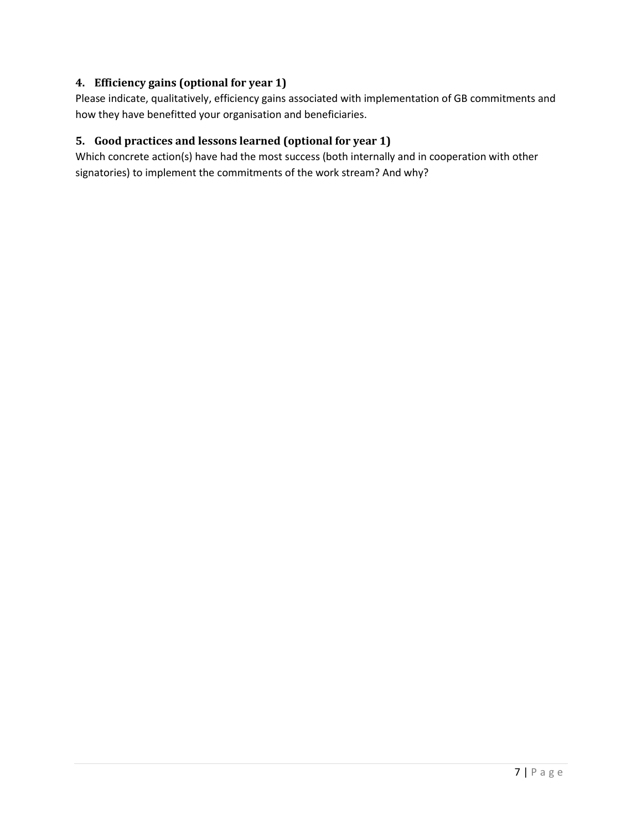## **4. Efficiency gains (optional for year 1)**

Please indicate, qualitatively, efficiency gains associated with implementation of GB commitments and how they have benefitted your organisation and beneficiaries.

#### **5. Good practices and lessons learned (optional for year 1)**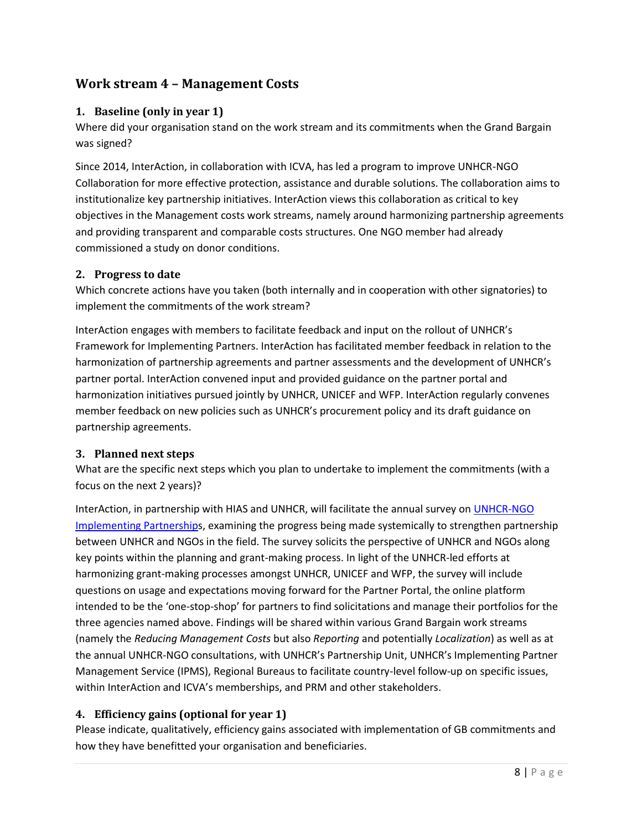# **Work stream 4 – Management Costs**

#### **1. Baseline (only in year 1)**

Where did your organisation stand on the work stream and its commitments when the Grand Bargain was signed?

Since 2014, InterAction, in collaboration with ICVA, has led a program to improve UNHCR-NGO Collaboration for more effective protection, assistance and durable solutions. The collaboration aims to institutionalize key partnership initiatives. InterAction views this collaboration as critical to key objectives in the Management costs work streams, namely around harmonizing partnership agreements and providing transparent and comparable costs structures. One NGO member had already commissioned a study on donor conditions.

#### **2. Progress to date**

Which concrete actions have you taken (both internally and in cooperation with other signatories) to implement the commitments of the work stream?

InterAction engages with members to facilitate feedback and input on the rollout of UNHCR's Framework for Implementing Partners. InterAction has facilitated member feedback in relation to the harmonization of partnership agreements and partner assessments and the development of UNHCR's partner portal. InterAction convened input and provided guidance on the partner portal and harmonization initiatives pursued jointly by UNHCR, UNICEF and WFP. InterAction regularly convenes member feedback on new policies such as UNHCR's procurement policy and its draft guidance on partnership agreements.

#### **3. Planned next steps**

What are the specific next steps which you plan to undertake to implement the commitments (with a focus on the next 2 years)?

InterAction, in partnership with HIAS and UNHCR, will facilitate the annual survey o[n UNHCR-NGO](http://www.unhcr.org/ngo-consultations/ngo-consultations-2016/2016-NGO-UNHCR-Partnership-Survey.pdf)  [Implementing Partnerships](http://www.unhcr.org/ngo-consultations/ngo-consultations-2016/2016-NGO-UNHCR-Partnership-Survey.pdf), examining the progress being made systemically to strengthen partnership between UNHCR and NGOs in the field. The survey solicits the perspective of UNHCR and NGOs along key points within the planning and grant-making process. In light of the UNHCR-led efforts at harmonizing grant-making processes amongst UNHCR, UNICEF and WFP, the survey will include questions on usage and expectations moving forward for the Partner Portal, the online platform intended to be the 'one-stop-shop' for partners to find solicitations and manage their portfolios for the three agencies named above. Findings will be shared within various Grand Bargain work streams (namely the *Reducing Management Costs* but also *Reporting* and potentially *Localization*) as well as at the annual UNHCR-NGO consultations, with UNHCR's Partnership Unit, UNHCR's Implementing Partner Management Service (IPMS), Regional Bureaus to facilitate country-level follow-up on specific issues, within InterAction and ICVA's memberships, and PRM and other stakeholders.

## **4. Efficiency gains (optional for year 1)**

Please indicate, qualitatively, efficiency gains associated with implementation of GB commitments and how they have benefitted your organisation and beneficiaries.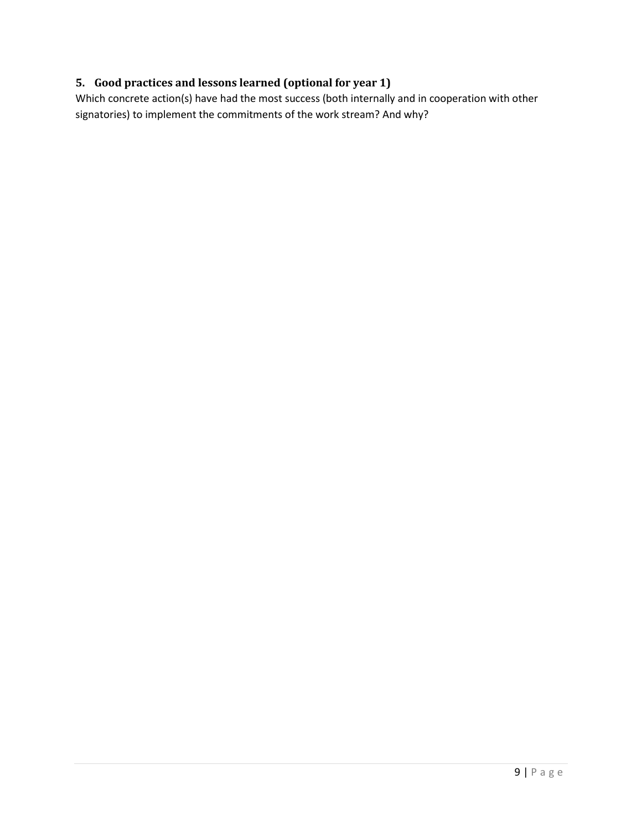## **5. Good practices and lessons learned (optional for year 1)**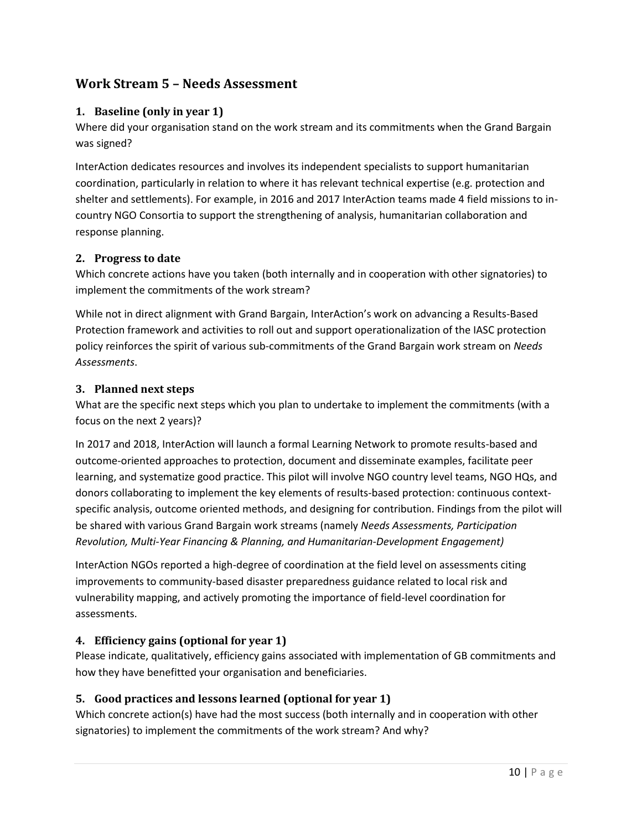# **Work Stream 5 – Needs Assessment**

#### **1. Baseline (only in year 1)**

Where did your organisation stand on the work stream and its commitments when the Grand Bargain was signed?

InterAction dedicates resources and involves its independent specialists to support humanitarian coordination, particularly in relation to where it has relevant technical expertise (e.g. protection and shelter and settlements). For example, in 2016 and 2017 InterAction teams made 4 field missions to incountry NGO Consortia to support the strengthening of analysis, humanitarian collaboration and response planning.

#### **2. Progress to date**

Which concrete actions have you taken (both internally and in cooperation with other signatories) to implement the commitments of the work stream?

While not in direct alignment with Grand Bargain, InterAction's work on advancing a Results-Based Protection framework and activities to roll out and support operationalization of the IASC protection policy reinforces the spirit of various sub-commitments of the Grand Bargain work stream on *Needs Assessments*.

#### **3. Planned next steps**

What are the specific next steps which you plan to undertake to implement the commitments (with a focus on the next 2 years)?

In 2017 and 2018, InterAction will launch a formal Learning Network to promote results-based and outcome-oriented approaches to protection, document and disseminate examples, facilitate peer learning, and systematize good practice. This pilot will involve NGO country level teams, NGO HQs, and donors collaborating to implement the key elements of results-based protection: continuous contextspecific analysis, outcome oriented methods, and designing for contribution. Findings from the pilot will be shared with various Grand Bargain work streams (namely *Needs Assessments, Participation Revolution, Multi-Year Financing & Planning, and Humanitarian-Development Engagement)*

InterAction NGOs reported a high-degree of coordination at the field level on assessments citing improvements to community-based disaster preparedness guidance related to local risk and vulnerability mapping, and actively promoting the importance of field-level coordination for assessments.

#### **4. Efficiency gains (optional for year 1)**

Please indicate, qualitatively, efficiency gains associated with implementation of GB commitments and how they have benefitted your organisation and beneficiaries.

## **5. Good practices and lessons learned (optional for year 1)**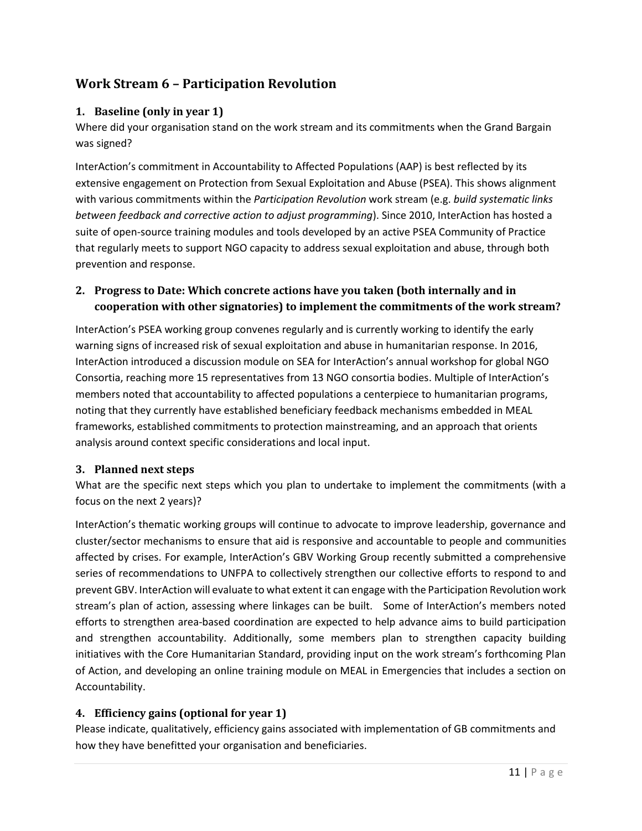# **Work Stream 6 – Participation Revolution**

## **1. Baseline (only in year 1)**

Where did your organisation stand on the work stream and its commitments when the Grand Bargain was signed?

InterAction's commitment in Accountability to Affected Populations (AAP) is best reflected by its extensive engagement on Protection from Sexual Exploitation and Abuse (PSEA). This shows alignment with various commitments within the *Participation Revolution* work stream (e.g. *build systematic links between feedback and corrective action to adjust programming*). Since 2010, InterAction has hosted a suite of open-source training modules and tools developed by an active PSEA Community of Practice that regularly meets to support NGO capacity to address sexual exploitation and abuse, through both prevention and response.

## **2. Progress to Date: Which concrete actions have you taken (both internally and in cooperation with other signatories) to implement the commitments of the work stream?**

InterAction's PSEA working group convenes regularly and is currently working to identify the early warning signs of increased risk of sexual exploitation and abuse in humanitarian response. In 2016, InterAction introduced a discussion module on SEA for InterAction's annual workshop for global NGO Consortia, reaching more 15 representatives from 13 NGO consortia bodies. Multiple of InterAction's members noted that accountability to affected populations a centerpiece to humanitarian programs, noting that they currently have established beneficiary feedback mechanisms embedded in MEAL frameworks, established commitments to protection mainstreaming, and an approach that orients analysis around context specific considerations and local input.

## **3. Planned next steps**

What are the specific next steps which you plan to undertake to implement the commitments (with a focus on the next 2 years)?

InterAction's thematic working groups will continue to advocate to improve leadership, governance and cluster/sector mechanisms to ensure that aid is responsive and accountable to people and communities affected by crises. For example, InterAction's GBV Working Group recently submitted a comprehensive series of recommendations to UNFPA to collectively strengthen our collective efforts to respond to and prevent GBV. InterAction will evaluate to what extent it can engage with the Participation Revolution work stream's plan of action, assessing where linkages can be built. Some of InterAction's members noted efforts to strengthen area-based coordination are expected to help advance aims to build participation and strengthen accountability. Additionally, some members plan to strengthen capacity building initiatives with the Core Humanitarian Standard, providing input on the work stream's forthcoming Plan of Action, and developing an online training module on MEAL in Emergencies that includes a section on Accountability.

## **4. Efficiency gains (optional for year 1)**

Please indicate, qualitatively, efficiency gains associated with implementation of GB commitments and how they have benefitted your organisation and beneficiaries.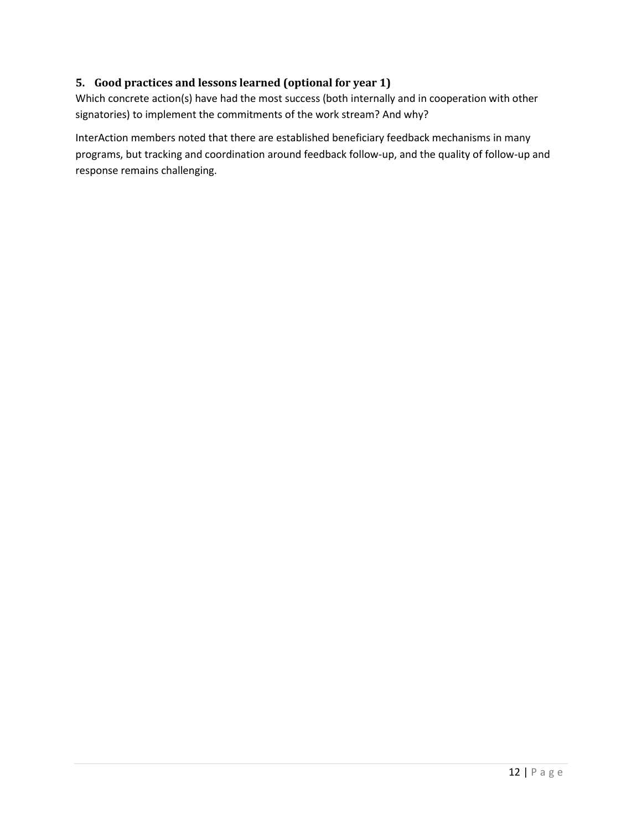## **5. Good practices and lessons learned (optional for year 1)**

Which concrete action(s) have had the most success (both internally and in cooperation with other signatories) to implement the commitments of the work stream? And why?

InterAction members noted that there are established beneficiary feedback mechanisms in many programs, but tracking and coordination around feedback follow-up, and the quality of follow-up and response remains challenging.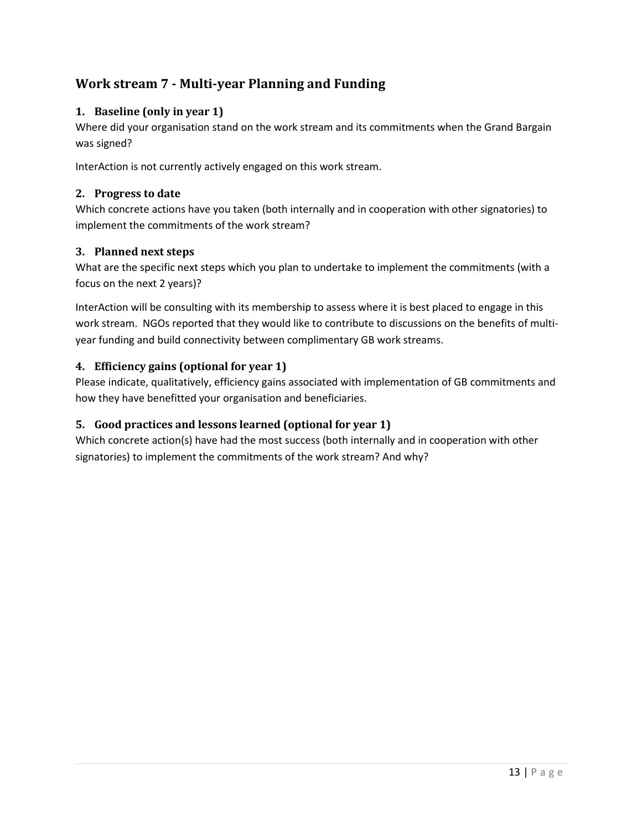# **Work stream 7 - Multi-year Planning and Funding**

## **1. Baseline (only in year 1)**

Where did your organisation stand on the work stream and its commitments when the Grand Bargain was signed?

InterAction is not currently actively engaged on this work stream.

#### **2. Progress to date**

Which concrete actions have you taken (both internally and in cooperation with other signatories) to implement the commitments of the work stream?

## **3. Planned next steps**

What are the specific next steps which you plan to undertake to implement the commitments (with a focus on the next 2 years)?

InterAction will be consulting with its membership to assess where it is best placed to engage in this work stream. NGOs reported that they would like to contribute to discussions on the benefits of multiyear funding and build connectivity between complimentary GB work streams.

## **4. Efficiency gains (optional for year 1)**

Please indicate, qualitatively, efficiency gains associated with implementation of GB commitments and how they have benefitted your organisation and beneficiaries.

## **5. Good practices and lessons learned (optional for year 1)**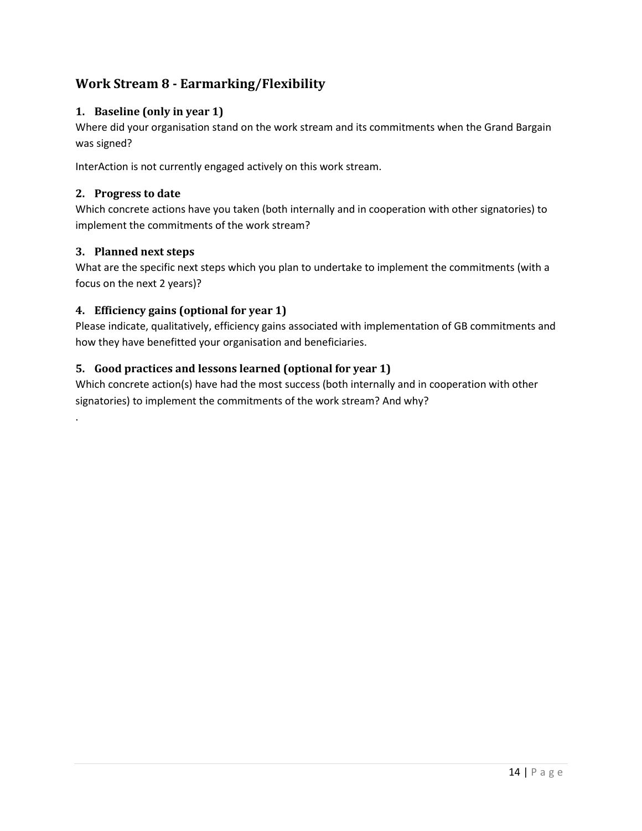# **Work Stream 8 - Earmarking/Flexibility**

## **1. Baseline (only in year 1)**

Where did your organisation stand on the work stream and its commitments when the Grand Bargain was signed?

InterAction is not currently engaged actively on this work stream.

#### **2. Progress to date**

Which concrete actions have you taken (both internally and in cooperation with other signatories) to implement the commitments of the work stream?

## **3. Planned next steps**

.

What are the specific next steps which you plan to undertake to implement the commitments (with a focus on the next 2 years)?

## **4. Efficiency gains (optional for year 1)**

Please indicate, qualitatively, efficiency gains associated with implementation of GB commitments and how they have benefitted your organisation and beneficiaries.

## **5. Good practices and lessons learned (optional for year 1)**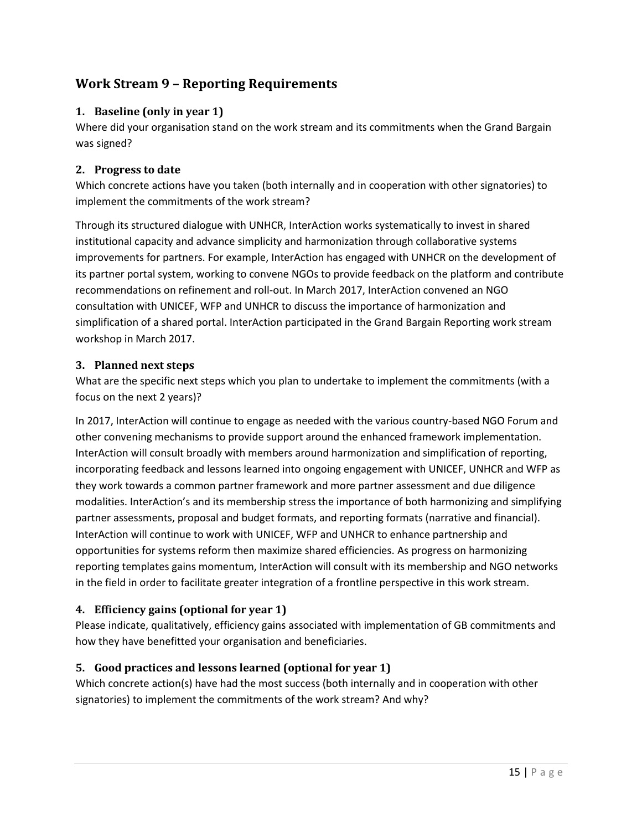# **Work Stream 9 – Reporting Requirements**

## **1. Baseline (only in year 1)**

Where did your organisation stand on the work stream and its commitments when the Grand Bargain was signed?

## **2. Progress to date**

Which concrete actions have you taken (both internally and in cooperation with other signatories) to implement the commitments of the work stream?

Through its structured dialogue with UNHCR, InterAction works systematically to invest in shared institutional capacity and advance simplicity and harmonization through collaborative systems improvements for partners. For example, InterAction has engaged with UNHCR on the development of its partner portal system, working to convene NGOs to provide feedback on the platform and contribute recommendations on refinement and roll-out. In March 2017, InterAction convened an NGO consultation with UNICEF, WFP and UNHCR to discuss the importance of harmonization and simplification of a shared portal. InterAction participated in the Grand Bargain Reporting work stream workshop in March 2017.

## **3. Planned next steps**

What are the specific next steps which you plan to undertake to implement the commitments (with a focus on the next 2 years)?

In 2017, InterAction will continue to engage as needed with the various country-based NGO Forum and other convening mechanisms to provide support around the enhanced framework implementation. InterAction will consult broadly with members around harmonization and simplification of reporting, incorporating feedback and lessons learned into ongoing engagement with UNICEF, UNHCR and WFP as they work towards a common partner framework and more partner assessment and due diligence modalities. InterAction's and its membership stress the importance of both harmonizing and simplifying partner assessments, proposal and budget formats, and reporting formats (narrative and financial). InterAction will continue to work with UNICEF, WFP and UNHCR to enhance partnership and opportunities for systems reform then maximize shared efficiencies. As progress on harmonizing reporting templates gains momentum, InterAction will consult with its membership and NGO networks in the field in order to facilitate greater integration of a frontline perspective in this work stream.

## **4. Efficiency gains (optional for year 1)**

Please indicate, qualitatively, efficiency gains associated with implementation of GB commitments and how they have benefitted your organisation and beneficiaries.

## **5. Good practices and lessons learned (optional for year 1)**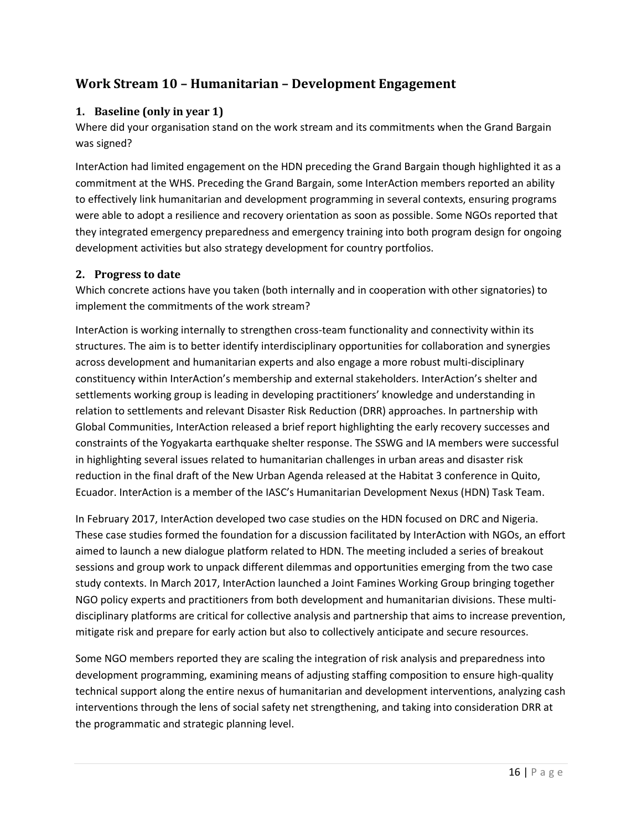# **Work Stream 10 – Humanitarian – Development Engagement**

#### **1. Baseline (only in year 1)**

Where did your organisation stand on the work stream and its commitments when the Grand Bargain was signed?

InterAction had limited engagement on the HDN preceding the Grand Bargain though highlighted it as a commitment at the WHS. Preceding the Grand Bargain, some InterAction members reported an ability to effectively link humanitarian and development programming in several contexts, ensuring programs were able to adopt a resilience and recovery orientation as soon as possible. Some NGOs reported that they integrated emergency preparedness and emergency training into both program design for ongoing development activities but also strategy development for country portfolios.

#### **2. Progress to date**

Which concrete actions have you taken (both internally and in cooperation with other signatories) to implement the commitments of the work stream?

InterAction is working internally to strengthen cross-team functionality and connectivity within its structures. The aim is to better identify interdisciplinary opportunities for collaboration and synergies across development and humanitarian experts and also engage a more robust multi-disciplinary constituency within InterAction's membership and external stakeholders. InterAction's shelter and settlements working group is leading in developing practitioners' knowledge and understanding in relation to settlements and relevant Disaster Risk Reduction (DRR) approaches. In partnership with Global Communities, InterAction released a brief report highlighting the early recovery successes and constraints of the Yogyakarta earthquake shelter response. The SSWG and IA members were successful in highlighting several issues related to humanitarian challenges in urban areas and disaster risk reduction in the final draft of the New Urban Agenda released at the Habitat 3 conference in Quito, Ecuador. InterAction is a member of the IASC's Humanitarian Development Nexus (HDN) Task Team.

In February 2017, InterAction developed two case studies on the HDN focused on DRC and Nigeria. These case studies formed the foundation for a discussion facilitated by InterAction with NGOs, an effort aimed to launch a new dialogue platform related to HDN. The meeting included a series of breakout sessions and group work to unpack different dilemmas and opportunities emerging from the two case study contexts. In March 2017, InterAction launched a Joint Famines Working Group bringing together NGO policy experts and practitioners from both development and humanitarian divisions. These multidisciplinary platforms are critical for collective analysis and partnership that aims to increase prevention, mitigate risk and prepare for early action but also to collectively anticipate and secure resources.

Some NGO members reported they are scaling the integration of risk analysis and preparedness into development programming, examining means of adjusting staffing composition to ensure high-quality technical support along the entire nexus of humanitarian and development interventions, analyzing cash interventions through the lens of social safety net strengthening, and taking into consideration DRR at the programmatic and strategic planning level.